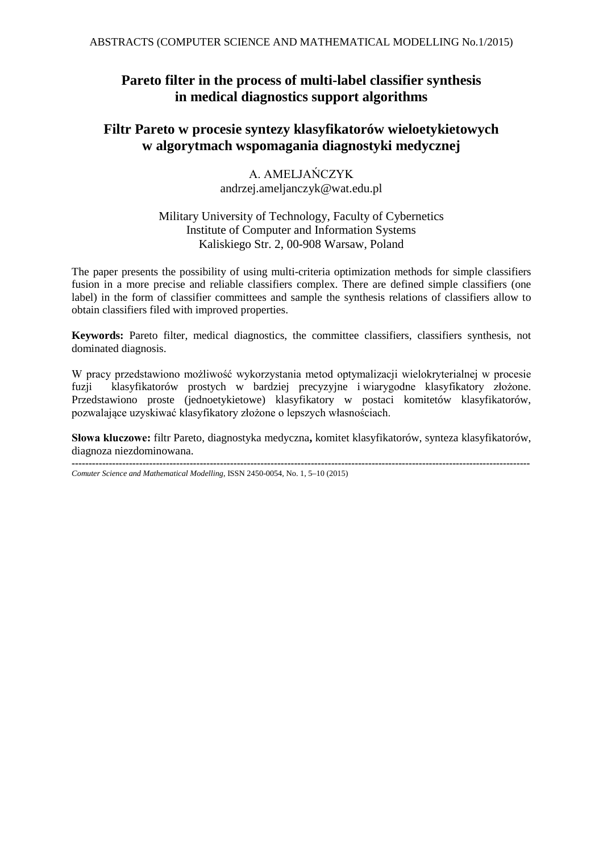## **Pareto filter in the process of multi-label classifier synthesis in medical diagnostics support algorithms**

## **Filtr Pareto w procesie syntezy klasyfikatorów wieloetykietowych w algorytmach wspomagania diagnostyki medycznej**

A. AMELJAŃCZYK andrzej.ameljanczyk@wat.edu.pl

#### Military University of Technology, Faculty of Cybernetics Institute of Computer and Information Systems Kaliskiego Str. 2, 00-908 Warsaw, Poland

The paper presents the possibility of using multi-criteria optimization methods for simple classifiers fusion in a more precise and reliable classifiers complex. There are defined simple classifiers (one label) in the form of classifier committees and sample the synthesis relations of classifiers allow to obtain classifiers filed with improved properties.

**Keywords:** Pareto filter, medical diagnostics, the committee classifiers, classifiers synthesis, not dominated diagnosis.

W pracy przedstawiono możliwość wykorzystania metod optymalizacji wielokryterialnej w procesie fuzji klasyfikatorów prostych w bardziej precyzyjne i wiarygodne klasyfikatory złożone. Przedstawiono proste (jednoetykietowe) klasyfikatory w postaci komitetów klasyfikatorów, pozwalające uzyskiwać klasyfikatory złożone o lepszych własnościach.

**Słowa kluczowe:** filtr Pareto, diagnostyka medyczna**,** komitet klasyfikatorów, synteza klasyfikatorów, diagnoza niezdominowana. **----------------------------------------------------------------------------------------------------------------------------------------**

*Comuter Science and Mathematical Modelling*, ISSN 2450-0054, No. 1, 5–10 (2015)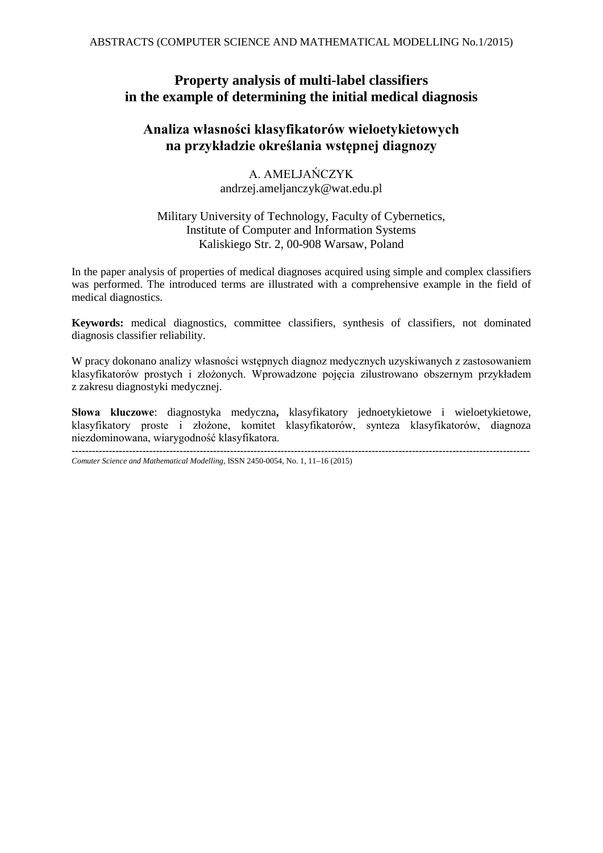## **Property analysis of multi-label classifiers in the example of determining the initial medical diagnosis**

## **Analiza własności klasyfikatorów wieloetykietowych na przykładzie określania wstępnej diagnozy**

A. AMELJAŃCZYK andrzej.ameljanczyk@wat.edu.pl

#### Military University of Technology, Faculty of Cybernetics, Institute of Computer and Information Systems Kaliskiego Str. 2, 00-908 Warsaw, Poland

In the paper analysis of properties of medical diagnoses acquired using simple and complex classifiers was performed. The introduced terms are illustrated with a comprehensive example in the field of medical diagnostics.

**Keywords:** medical diagnostics, committee classifiers, synthesis of classifiers, not dominated diagnosis classifier reliability.

W pracy dokonano analizy własności wstępnych diagnoz medycznych uzyskiwanych z zastosowaniem klasyfikatorów prostych i złożonych. Wprowadzone pojęcia zilustrowano obszernym przykładem z zakresu diagnostyki medycznej.

**Słowa kluczowe**: diagnostyka medyczna**,** klasyfikatory jednoetykietowe i wieloetykietowe, klasyfikatory proste i złożone, komitet klasyfikatorów, synteza klasyfikatorów, diagnoza niezdominowana, wiarygodność klasyfikatora.

**----------------------------------------------------------------------------------------------------------------------------------------** *Comuter Science and Mathematical Modelling*, ISSN 2450-0054, No. 1, 11–16 (2015)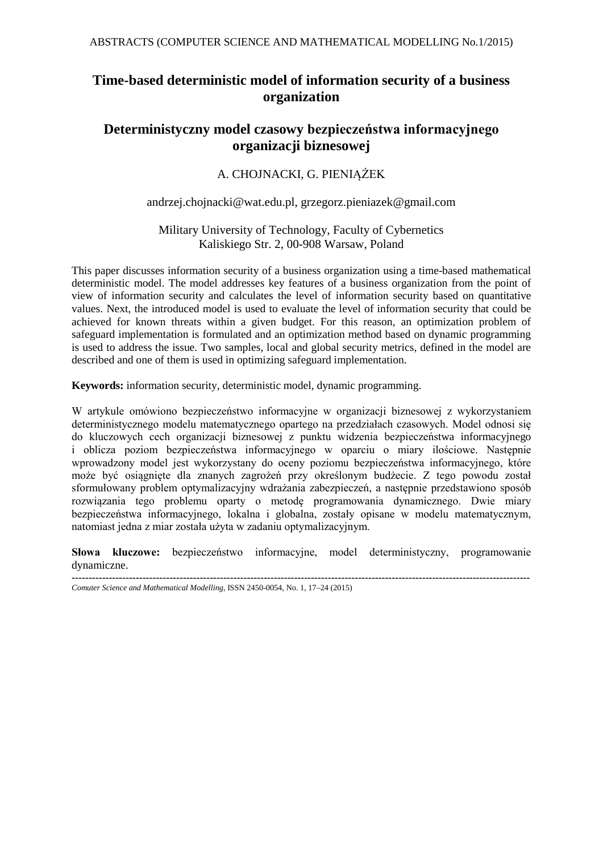# **Time-based deterministic model of information security of a business organization**

## **Deterministyczny model czasowy bezpieczeństwa informacyjnego organizacji biznesowej**

### A. CHOJNACKI, G. PIENIĄŻEK

#### andrzej.chojnacki@wat.edu.pl, grzegorz.pieniazek@gmail.com

#### Military University of Technology, Faculty of Cybernetics Kaliskiego Str. 2, 00-908 Warsaw, Poland

This paper discusses information security of a business organization using a time-based mathematical deterministic model. The model addresses key features of a business organization from the point of view of information security and calculates the level of information security based on quantitative values. Next, the introduced model is used to evaluate the level of information security that could be achieved for known threats within a given budget. For this reason, an optimization problem of safeguard implementation is formulated and an optimization method based on dynamic programming is used to address the issue. Two samples, local and global security metrics, defined in the model are described and one of them is used in optimizing safeguard implementation.

**Keywords:** information security, deterministic model, dynamic programming.

W artykule omówiono bezpieczeństwo informacyjne w organizacji biznesowej z wykorzystaniem deterministycznego modelu matematycznego opartego na przedziałach czasowych. Model odnosi się do kluczowych cech organizacji biznesowej z punktu widzenia bezpieczeństwa informacyjnego i oblicza poziom bezpieczeństwa informacyjnego w oparciu o miary ilościowe. Następnie wprowadzony model jest wykorzystany do oceny poziomu bezpieczeństwa informacyjnego, które może być osiągnięte dla znanych zagrożeń przy określonym budżecie. Z tego powodu został sformułowany problem optymalizacyjny wdrażania zabezpieczeń, a następnie przedstawiono sposób rozwiązania tego problemu oparty o metodę programowania dynamicznego. Dwie miary bezpieczeństwa informacyjnego, lokalna i globalna, zostały opisane w modelu matematycznym, natomiast jedna z miar została użyta w zadaniu optymalizacyjnym.

**Słowa kluczowe:** bezpieczeństwo informacyjne, model deterministyczny, programowanie dynamiczne.

**----------------------------------------------------------------------------------------------------------------------------------------** *Comuter Science and Mathematical Modelling*, ISSN 2450-0054, No. 1, 17–24 (2015)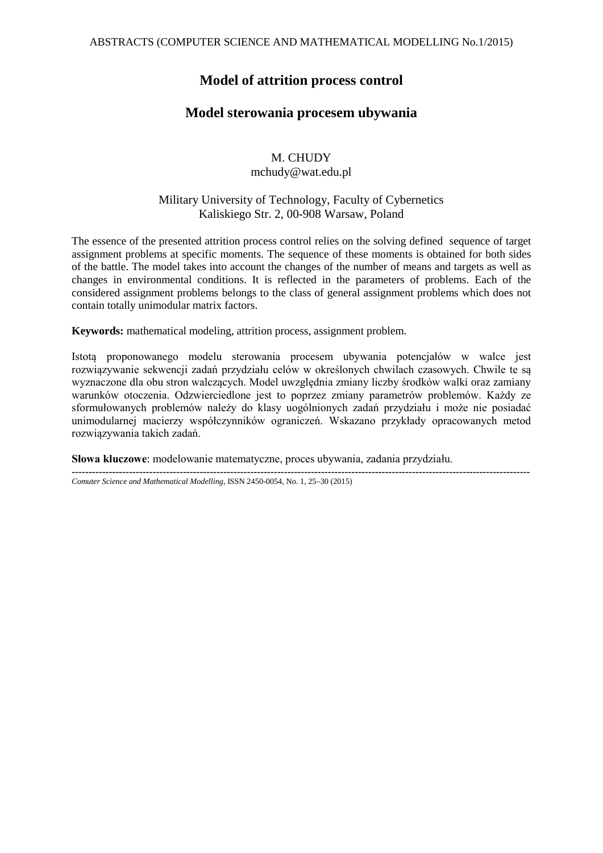### **Model of attrition process control**

### **Model sterowania procesem ubywania**

# M. CHUDY

#### mchudy@wat.edu.pl

#### Military University of Technology, Faculty of Cybernetics Kaliskiego Str. 2, 00-908 Warsaw, Poland

The essence of the presented attrition process control relies on the solving defined sequence of target assignment problems at specific moments. The sequence of these moments is obtained for both sides of the battle. The model takes into account the changes of the number of means and targets as well as changes in environmental conditions. It is reflected in the parameters of problems. Each of the considered assignment problems belongs to the class of general assignment problems which does not contain totally unimodular matrix factors.

**Keywords:** mathematical modeling, attrition process, assignment problem.

Istotą proponowanego modelu sterowania procesem ubywania potencjałów w walce jest rozwiązywanie sekwencji zadań przydziału celów w określonych chwilach czasowych. Chwile te są wyznaczone dla obu stron walczących. Model uwzględnia zmiany liczby środków walki oraz zamiany warunków otoczenia. Odzwierciedlone jest to poprzez zmiany parametrów problemów. Każdy ze sformułowanych problemów należy do klasy uogólnionych zadań przydziału i może nie posiadać unimodularnej macierzy współczynników ograniczeń. Wskazano przykłady opracowanych metod rozwiązywania takich zadań.

**----------------------------------------------------------------------------------------------------------------------------------------**

**Słowa kluczowe**: modelowanie matematyczne, proces ubywania, zadania przydziału.

*Comuter Science and Mathematical Modelling*, ISSN 2450-0054, No. 1, 25–30 (2015)